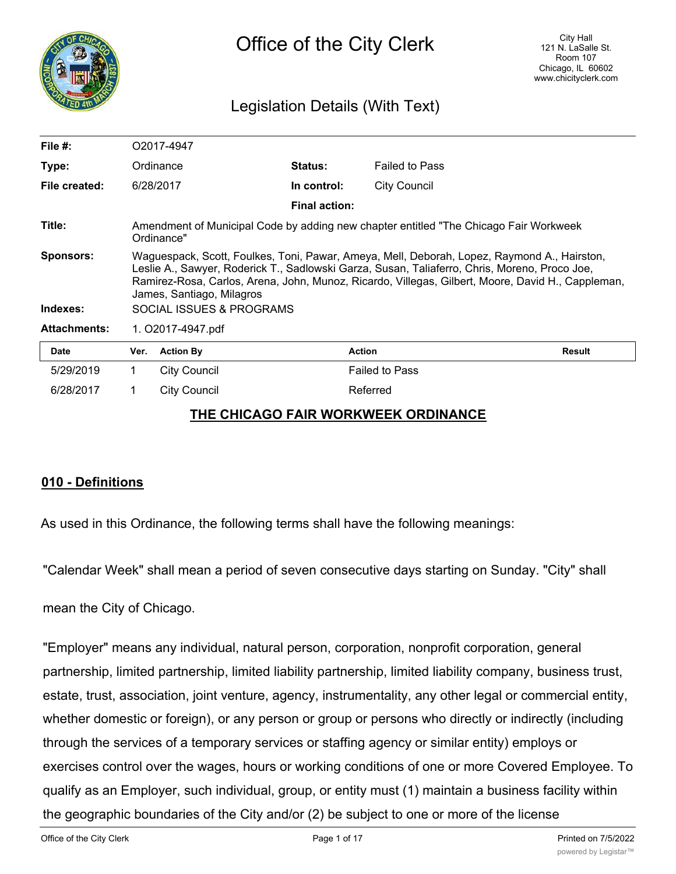

## Legislation Details (With Text)

| File $#$ :          | O2017-4947                                                                                                                                                                                                                                                                                                                     |                     |                      |                       |               |
|---------------------|--------------------------------------------------------------------------------------------------------------------------------------------------------------------------------------------------------------------------------------------------------------------------------------------------------------------------------|---------------------|----------------------|-----------------------|---------------|
| Type:               |                                                                                                                                                                                                                                                                                                                                | Ordinance           | Status:              | <b>Failed to Pass</b> |               |
| File created:       |                                                                                                                                                                                                                                                                                                                                | 6/28/2017           | In control:          | <b>City Council</b>   |               |
|                     |                                                                                                                                                                                                                                                                                                                                |                     | <b>Final action:</b> |                       |               |
| Title:              | Amendment of Municipal Code by adding new chapter entitled "The Chicago Fair Workweek"<br>Ordinance"                                                                                                                                                                                                                           |                     |                      |                       |               |
| <b>Sponsors:</b>    | Waguespack, Scott, Foulkes, Toni, Pawar, Ameya, Mell, Deborah, Lopez, Raymond A., Hairston,<br>Leslie A., Sawyer, Roderick T., Sadlowski Garza, Susan, Taliaferro, Chris, Moreno, Proco Joe,<br>Ramirez-Rosa, Carlos, Arena, John, Munoz, Ricardo, Villegas, Gilbert, Moore, David H., Cappleman,<br>James, Santiago, Milagros |                     |                      |                       |               |
| Indexes:            | SOCIAL ISSUES & PROGRAMS                                                                                                                                                                                                                                                                                                       |                     |                      |                       |               |
| <b>Attachments:</b> | 1. O2017-4947.pdf                                                                                                                                                                                                                                                                                                              |                     |                      |                       |               |
| <b>Date</b>         | Ver.                                                                                                                                                                                                                                                                                                                           | <b>Action By</b>    |                      | <b>Action</b>         | <b>Result</b> |
| 5/29/2019           | 1.                                                                                                                                                                                                                                                                                                                             | <b>City Council</b> |                      | <b>Failed to Pass</b> |               |
| 6/28/2017           |                                                                                                                                                                                                                                                                                                                                | <b>City Council</b> |                      | Referred              |               |

#### **THE CHICAGO FAIR WORKWEEK ORDINANCE**

## **010 - Definitions**

As used in this Ordinance, the following terms shall have the following meanings:

"Calendar Week" shall mean a period of seven consecutive days starting on Sunday. "City" shall

mean the City of Chicago.

"Employer" means any individual, natural person, corporation, nonprofit corporation, general partnership, limited partnership, limited liability partnership, limited liability company, business trust, estate, trust, association, joint venture, agency, instrumentality, any other legal or commercial entity, whether domestic or foreign), or any person or group or persons who directly or indirectly (including through the services of a temporary services or staffing agency or similar entity) employs or exercises control over the wages, hours or working conditions of one or more Covered Employee. To qualify as an Employer, such individual, group, or entity must (1) maintain a business facility within the geographic boundaries of the City and/or (2) be subject to one or more of the license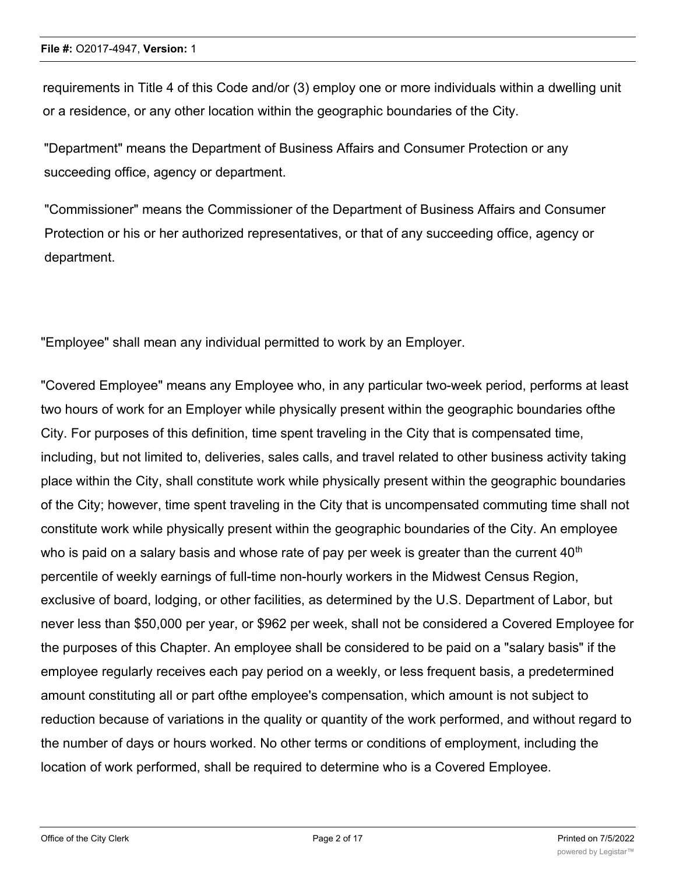requirements in Title 4 of this Code and/or (3) employ one or more individuals within a dwelling unit or a residence, or any other location within the geographic boundaries of the City.

"Department" means the Department of Business Affairs and Consumer Protection or any succeeding office, agency or department.

"Commissioner" means the Commissioner of the Department of Business Affairs and Consumer Protection or his or her authorized representatives, or that of any succeeding office, agency or department.

"Employee" shall mean any individual permitted to work by an Employer.

"Covered Employee" means any Employee who, in any particular two-week period, performs at least two hours of work for an Employer while physically present within the geographic boundaries ofthe City. For purposes of this definition, time spent traveling in the City that is compensated time, including, but not limited to, deliveries, sales calls, and travel related to other business activity taking place within the City, shall constitute work while physically present within the geographic boundaries of the City; however, time spent traveling in the City that is uncompensated commuting time shall not constitute work while physically present within the geographic boundaries of the City. An employee who is paid on a salary basis and whose rate of pay per week is greater than the current  $40<sup>th</sup>$ percentile of weekly earnings of full-time non-hourly workers in the Midwest Census Region, exclusive of board, lodging, or other facilities, as determined by the U.S. Department of Labor, but never less than \$50,000 per year, or \$962 per week, shall not be considered a Covered Employee for the purposes of this Chapter. An employee shall be considered to be paid on a "salary basis" if the employee regularly receives each pay period on a weekly, or less frequent basis, a predetermined amount constituting all or part ofthe employee's compensation, which amount is not subject to reduction because of variations in the quality or quantity of the work performed, and without regard to the number of days or hours worked. No other terms or conditions of employment, including the location of work performed, shall be required to determine who is a Covered Employee.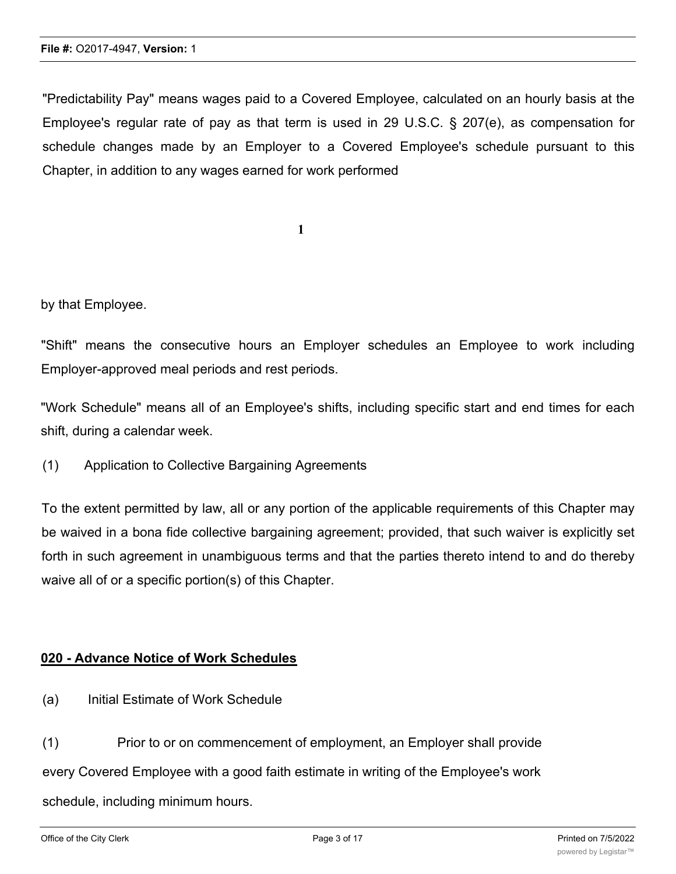"Predictability Pay" means wages paid to a Covered Employee, calculated on an hourly basis at the Employee's regular rate of pay as that term is used in 29 U.S.C. § 207(e), as compensation for schedule changes made by an Employer to a Covered Employee's schedule pursuant to this Chapter, in addition to any wages earned for work performed

**1**

by that Employee.

"Shift" means the consecutive hours an Employer schedules an Employee to work including Employer-approved meal periods and rest periods.

"Work Schedule" means all of an Employee's shifts, including specific start and end times for each shift, during a calendar week.

(1) Application to Collective Bargaining Agreements

To the extent permitted by law, all or any portion of the applicable requirements of this Chapter may be waived in a bona fide collective bargaining agreement; provided, that such waiver is explicitly set forth in such agreement in unambiguous terms and that the parties thereto intend to and do thereby waive all of or a specific portion(s) of this Chapter.

#### **020 - Advance Notice of Work Schedules**

(a) Initial Estimate of Work Schedule

(1) Prior to or on commencement of employment, an Employer shall provide every Covered Employee with a good faith estimate in writing of the Employee's work schedule, including minimum hours.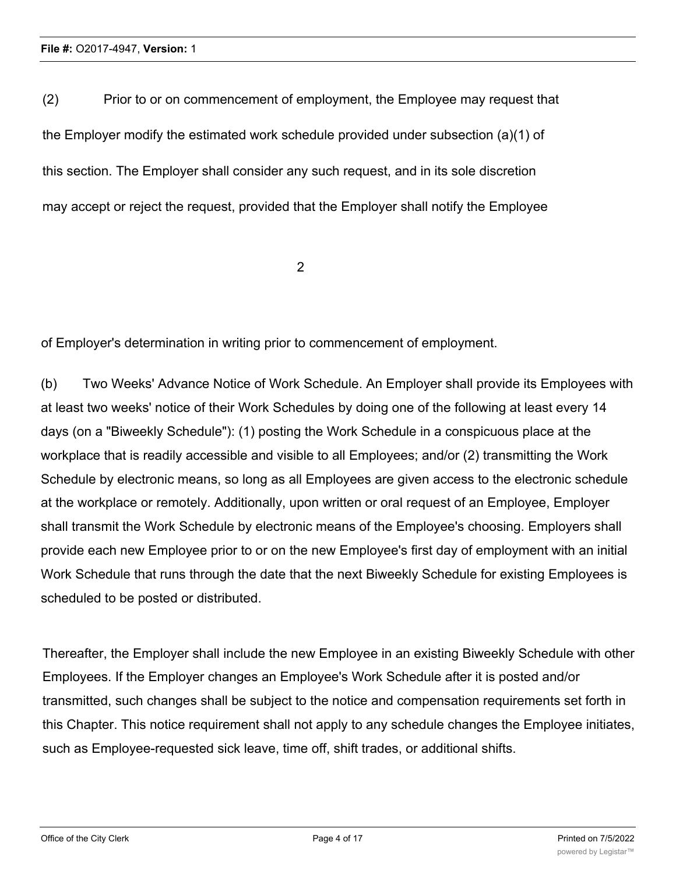(2) Prior to or on commencement of employment, the Employee may request that the Employer modify the estimated work schedule provided under subsection (a)(1) of this section. The Employer shall consider any such request, and in its sole discretion may accept or reject the request, provided that the Employer shall notify the Employee

2

of Employer's determination in writing prior to commencement of employment.

(b) Two Weeks' Advance Notice of Work Schedule. An Employer shall provide its Employees with at least two weeks' notice of their Work Schedules by doing one of the following at least every 14 days (on a "Biweekly Schedule"): (1) posting the Work Schedule in a conspicuous place at the workplace that is readily accessible and visible to all Employees; and/or (2) transmitting the Work Schedule by electronic means, so long as all Employees are given access to the electronic schedule at the workplace or remotely. Additionally, upon written or oral request of an Employee, Employer shall transmit the Work Schedule by electronic means of the Employee's choosing. Employers shall provide each new Employee prior to or on the new Employee's first day of employment with an initial Work Schedule that runs through the date that the next Biweekly Schedule for existing Employees is scheduled to be posted or distributed.

Thereafter, the Employer shall include the new Employee in an existing Biweekly Schedule with other Employees. If the Employer changes an Employee's Work Schedule after it is posted and/or transmitted, such changes shall be subject to the notice and compensation requirements set forth in this Chapter. This notice requirement shall not apply to any schedule changes the Employee initiates, such as Employee-requested sick leave, time off, shift trades, or additional shifts.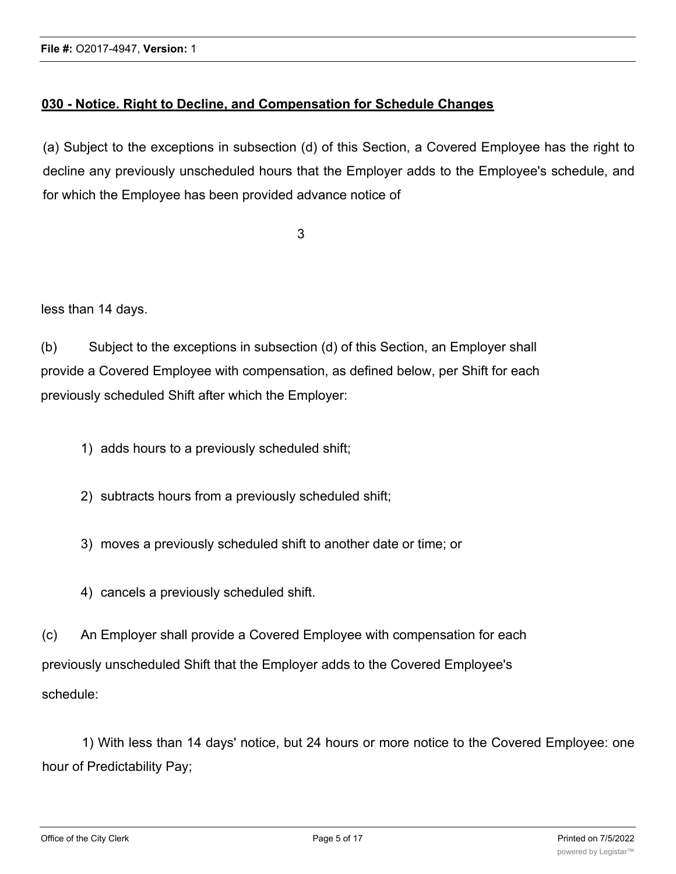## **030 - Notice. Right to Decline, and Compensation for Schedule Changes**

(a) Subject to the exceptions in subsection (d) of this Section, a Covered Employee has the right to decline any previously unscheduled hours that the Employer adds to the Employee's schedule, and for which the Employee has been provided advance notice of

3

less than 14 days.

(b) Subject to the exceptions in subsection (d) of this Section, an Employer shall provide a Covered Employee with compensation, as defined below, per Shift for each previously scheduled Shift after which the Employer:

- 1) adds hours to a previously scheduled shift;
- 2) subtracts hours from a previously scheduled shift;
- 3) moves a previously scheduled shift to another date or time; or
- 4) cancels a previously scheduled shift.

(c) An Employer shall provide a Covered Employee with compensation for each previously unscheduled Shift that the Employer adds to the Covered Employee's schedule:

1) With less than 14 days' notice, but 24 hours or more notice to the Covered Employee: one hour of Predictability Pay;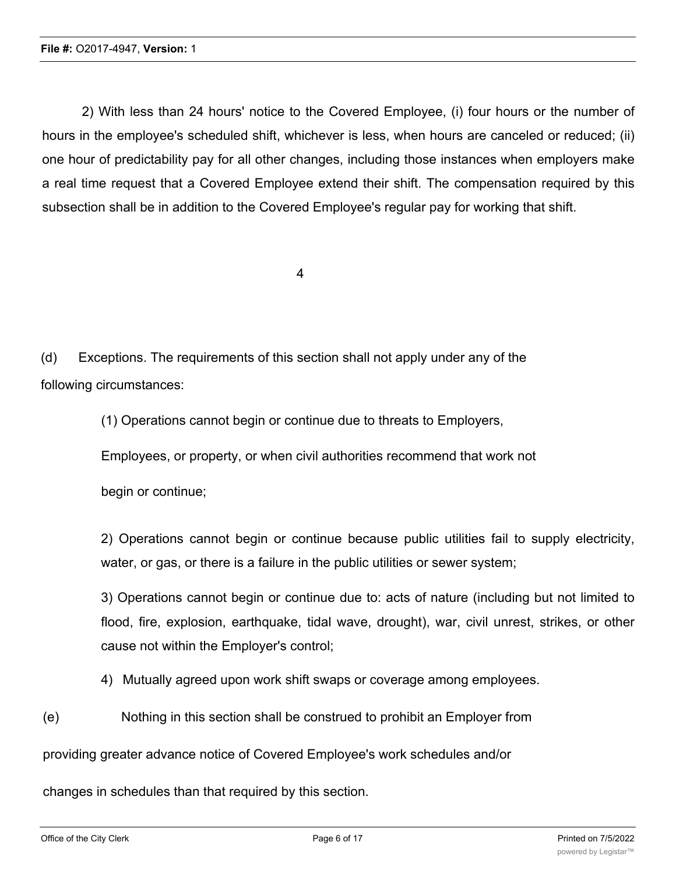2) With less than 24 hours' notice to the Covered Employee, (i) four hours or the number of hours in the employee's scheduled shift, whichever is less, when hours are canceled or reduced; (ii) one hour of predictability pay for all other changes, including those instances when employers make a real time request that a Covered Employee extend their shift. The compensation required by this subsection shall be in addition to the Covered Employee's regular pay for working that shift.

4

(d) Exceptions. The requirements of this section shall not apply under any of the following circumstances:

(1) Operations cannot begin or continue due to threats to Employers,

Employees, or property, or when civil authorities recommend that work not

begin or continue;

2) Operations cannot begin or continue because public utilities fail to supply electricity, water, or gas, or there is a failure in the public utilities or sewer system;

3) Operations cannot begin or continue due to: acts of nature (including but not limited to flood, fire, explosion, earthquake, tidal wave, drought), war, civil unrest, strikes, or other cause not within the Employer's control;

4) Mutually agreed upon work shift swaps or coverage among employees.

(e) Nothing in this section shall be construed to prohibit an Employer from

providing greater advance notice of Covered Employee's work schedules and/or

changes in schedules than that required by this section.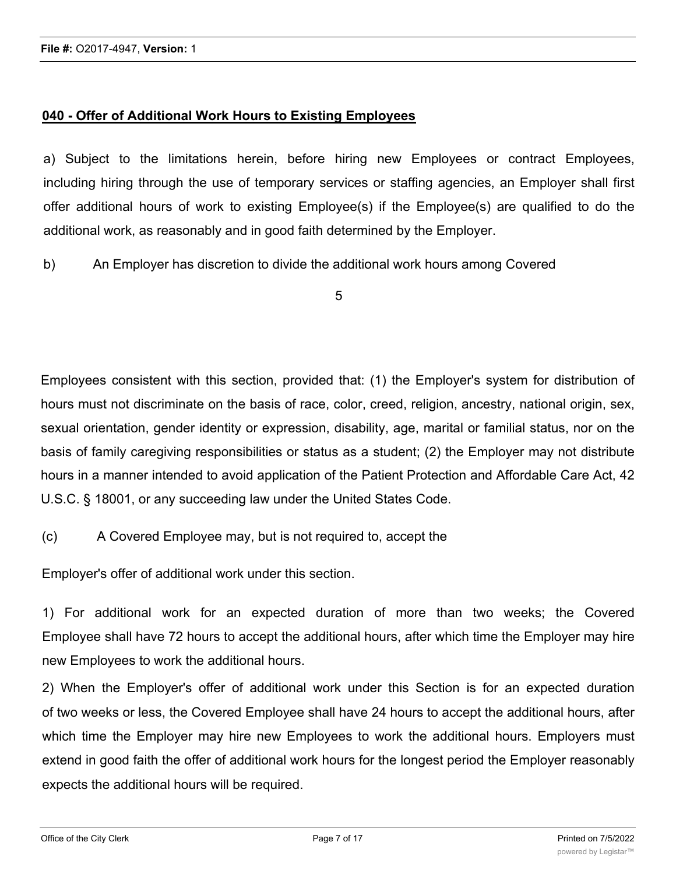## **040 - Offer of Additional Work Hours to Existing Employees**

a) Subject to the limitations herein, before hiring new Employees or contract Employees, including hiring through the use of temporary services or staffing agencies, an Employer shall first offer additional hours of work to existing Employee(s) if the Employee(s) are qualified to do the additional work, as reasonably and in good faith determined by the Employer.

b) An Employer has discretion to divide the additional work hours among Covered

5

Employees consistent with this section, provided that: (1) the Employer's system for distribution of hours must not discriminate on the basis of race, color, creed, religion, ancestry, national origin, sex, sexual orientation, gender identity or expression, disability, age, marital or familial status, nor on the basis of family caregiving responsibilities or status as a student; (2) the Employer may not distribute hours in a manner intended to avoid application of the Patient Protection and Affordable Care Act, 42 U.S.C. § 18001, or any succeeding law under the United States Code.

(c) A Covered Employee may, but is not required to, accept the

Employer's offer of additional work under this section.

1) For additional work for an expected duration of more than two weeks; the Covered Employee shall have 72 hours to accept the additional hours, after which time the Employer may hire new Employees to work the additional hours.

2) When the Employer's offer of additional work under this Section is for an expected duration of two weeks or less, the Covered Employee shall have 24 hours to accept the additional hours, after which time the Employer may hire new Employees to work the additional hours. Employers must extend in good faith the offer of additional work hours for the longest period the Employer reasonably expects the additional hours will be required.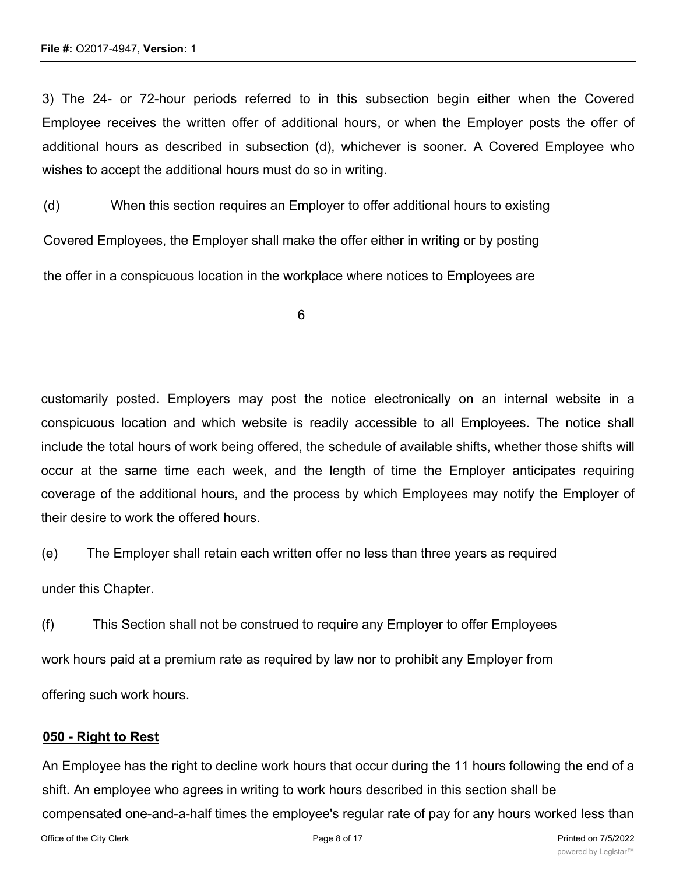#### **File #:** O2017-4947, **Version:** 1

3) The 24- or 72-hour periods referred to in this subsection begin either when the Covered Employee receives the written offer of additional hours, or when the Employer posts the offer of additional hours as described in subsection (d), whichever is sooner. A Covered Employee who wishes to accept the additional hours must do so in writing.

(d) When this section requires an Employer to offer additional hours to existing

Covered Employees, the Employer shall make the offer either in writing or by posting

the offer in a conspicuous location in the workplace where notices to Employees are

6

customarily posted. Employers may post the notice electronically on an internal website in a conspicuous location and which website is readily accessible to all Employees. The notice shall include the total hours of work being offered, the schedule of available shifts, whether those shifts will occur at the same time each week, and the length of time the Employer anticipates requiring coverage of the additional hours, and the process by which Employees may notify the Employer of their desire to work the offered hours.

(e) The Employer shall retain each written offer no less than three years as required

under this Chapter.

(f) This Section shall not be construed to require any Employer to offer Employees work hours paid at a premium rate as required by law nor to prohibit any Employer from offering such work hours.

#### **050 - Right to Rest**

An Employee has the right to decline work hours that occur during the 11 hours following the end of a shift. An employee who agrees in writing to work hours described in this section shall be compensated one-and-a-half times the employee's regular rate of pay for any hours worked less than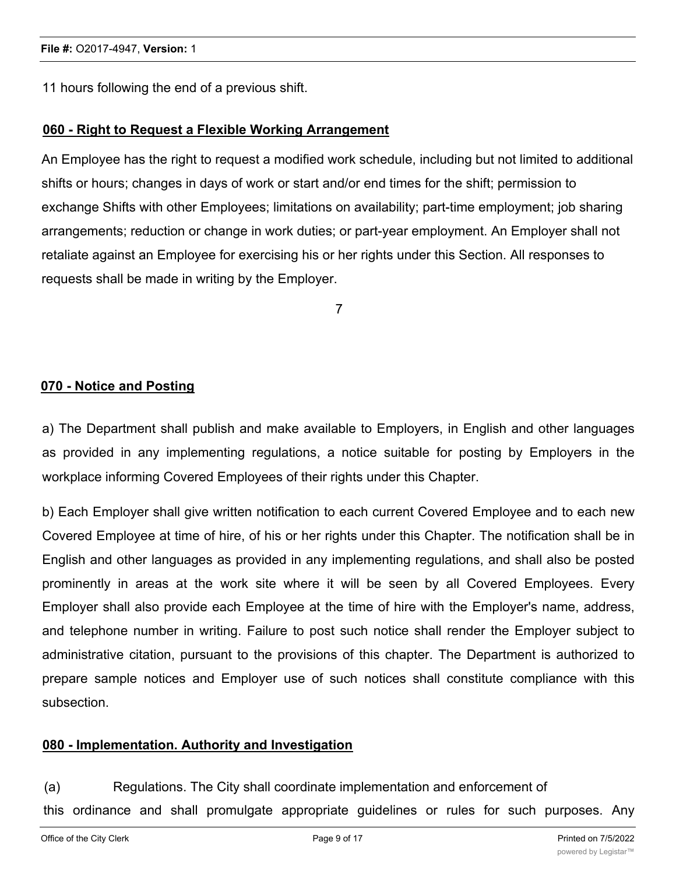11 hours following the end of a previous shift.

#### **060 - Right to Request a Flexible Working Arrangement**

An Employee has the right to request a modified work schedule, including but not limited to additional shifts or hours; changes in days of work or start and/or end times for the shift; permission to exchange Shifts with other Employees; limitations on availability; part-time employment; job sharing arrangements; reduction or change in work duties; or part-year employment. An Employer shall not retaliate against an Employee for exercising his or her rights under this Section. All responses to requests shall be made in writing by the Employer.

7

#### **070 - Notice and Posting**

a) The Department shall publish and make available to Employers, in English and other languages as provided in any implementing regulations, a notice suitable for posting by Employers in the workplace informing Covered Employees of their rights under this Chapter.

b) Each Employer shall give written notification to each current Covered Employee and to each new Covered Employee at time of hire, of his or her rights under this Chapter. The notification shall be in English and other languages as provided in any implementing regulations, and shall also be posted prominently in areas at the work site where it will be seen by all Covered Employees. Every Employer shall also provide each Employee at the time of hire with the Employer's name, address, and telephone number in writing. Failure to post such notice shall render the Employer subject to administrative citation, pursuant to the provisions of this chapter. The Department is authorized to prepare sample notices and Employer use of such notices shall constitute compliance with this subsection.

#### **080 - Implementation. Authority and Investigation**

(a) Regulations. The City shall coordinate implementation and enforcement of

this ordinance and shall promulgate appropriate guidelines or rules for such purposes. Any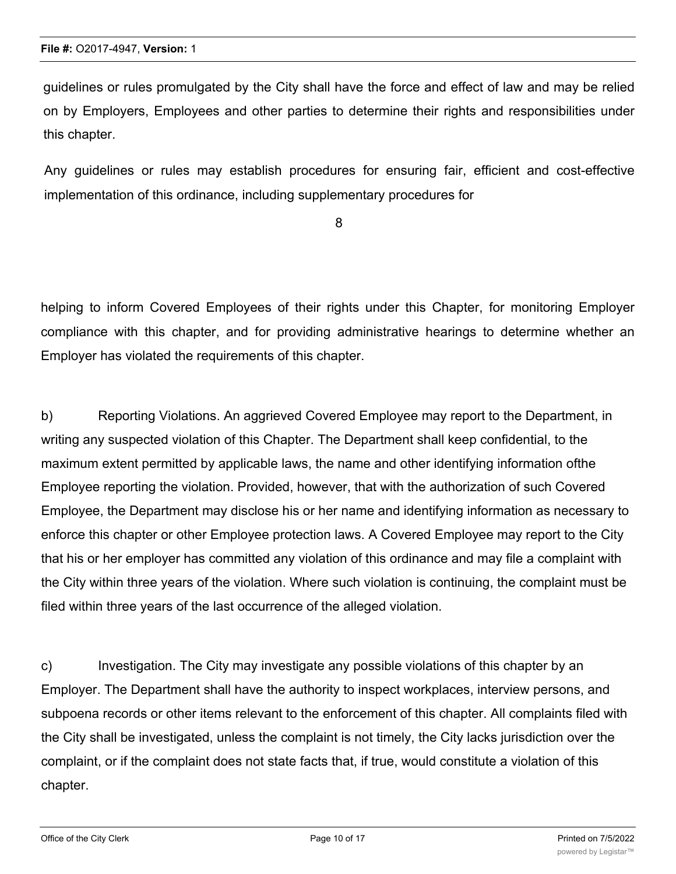guidelines or rules promulgated by the City shall have the force and effect of law and may be relied on by Employers, Employees and other parties to determine their rights and responsibilities under this chapter.

Any guidelines or rules may establish procedures for ensuring fair, efficient and cost-effective implementation of this ordinance, including supplementary procedures for

8

helping to inform Covered Employees of their rights under this Chapter, for monitoring Employer compliance with this chapter, and for providing administrative hearings to determine whether an Employer has violated the requirements of this chapter.

b) Reporting Violations. An aggrieved Covered Employee may report to the Department, in writing any suspected violation of this Chapter. The Department shall keep confidential, to the maximum extent permitted by applicable laws, the name and other identifying information ofthe Employee reporting the violation. Provided, however, that with the authorization of such Covered Employee, the Department may disclose his or her name and identifying information as necessary to enforce this chapter or other Employee protection laws. A Covered Employee may report to the City that his or her employer has committed any violation of this ordinance and may file a complaint with the City within three years of the violation. Where such violation is continuing, the complaint must be filed within three years of the last occurrence of the alleged violation.

c) Investigation. The City may investigate any possible violations of this chapter by an Employer. The Department shall have the authority to inspect workplaces, interview persons, and subpoena records or other items relevant to the enforcement of this chapter. All complaints filed with the City shall be investigated, unless the complaint is not timely, the City lacks jurisdiction over the complaint, or if the complaint does not state facts that, if true, would constitute a violation of this chapter.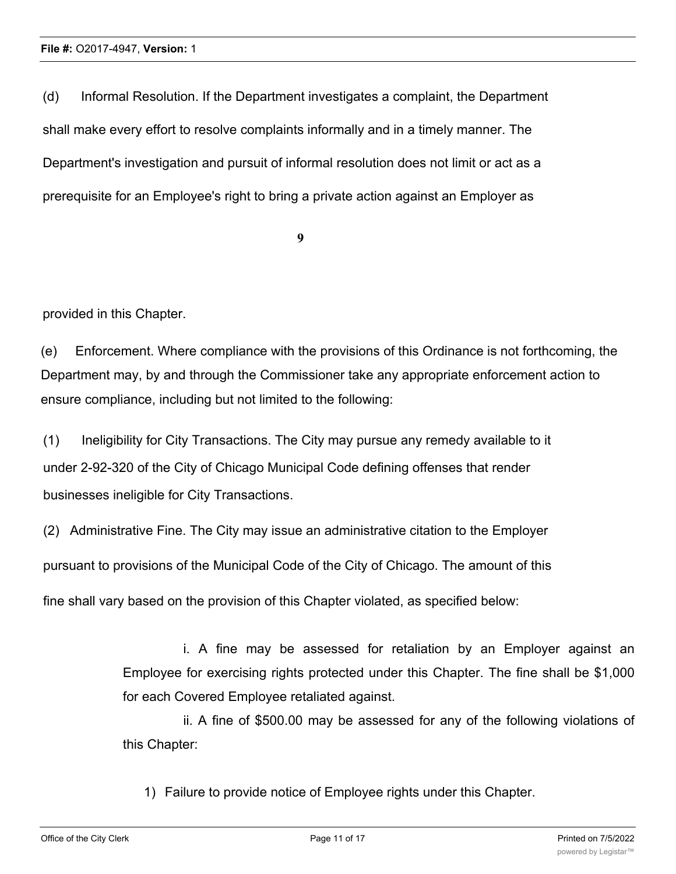(d) Informal Resolution. If the Department investigates a complaint, the Department shall make every effort to resolve complaints informally and in a timely manner. The Department's investigation and pursuit of informal resolution does not limit or act as a prerequisite for an Employee's right to bring a private action against an Employer as

**9**

provided in this Chapter.

(e) Enforcement. Where compliance with the provisions of this Ordinance is not forthcoming, the Department may, by and through the Commissioner take any appropriate enforcement action to ensure compliance, including but not limited to the following:

(1) Ineligibility for City Transactions. The City may pursue any remedy available to it under 2-92-320 of the City of Chicago Municipal Code defining offenses that render businesses ineligible for City Transactions.

(2) Administrative Fine. The City may issue an administrative citation to the Employer

pursuant to provisions of the Municipal Code of the City of Chicago. The amount of this

fine shall vary based on the provision of this Chapter violated, as specified below:

i. A fine may be assessed for retaliation by an Employer against an Employee for exercising rights protected under this Chapter. The fine shall be \$1,000 for each Covered Employee retaliated against.

ii. A fine of \$500.00 may be assessed for any of the following violations of this Chapter:

1) Failure to provide notice of Employee rights under this Chapter.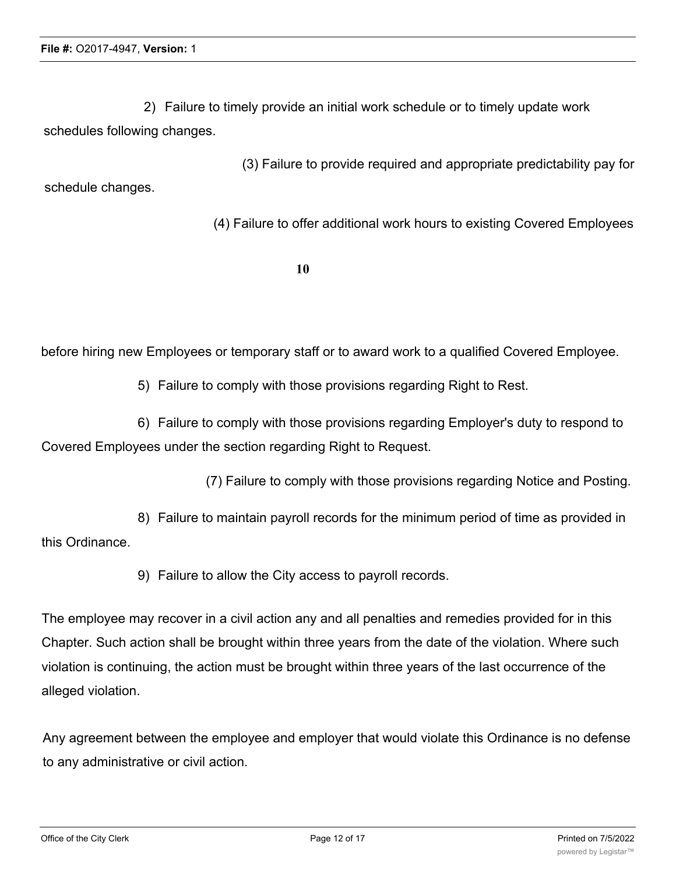2) Failure to timely provide an initial work schedule or to timely update work schedules following changes.

(3) Failure to provide required and appropriate predictability pay for schedule changes.

(4) Failure to offer additional work hours to existing Covered Employees

**10**

before hiring new Employees or temporary staff or to award work to a qualified Covered Employee.

5) Failure to comply with those provisions regarding Right to Rest.

6) Failure to comply with those provisions regarding Employer's duty to respond to Covered Employees under the section regarding Right to Request.

(7) Failure to comply with those provisions regarding Notice and Posting.

8) Failure to maintain payroll records for the minimum period of time as provided in this Ordinance.

9) Failure to allow the City access to payroll records.

The employee may recover in a civil action any and all penalties and remedies provided for in this Chapter. Such action shall be brought within three years from the date of the violation. Where such violation is continuing, the action must be brought within three years of the last occurrence of the alleged violation.

Any agreement between the employee and employer that would violate this Ordinance is no defense to any administrative or civil action.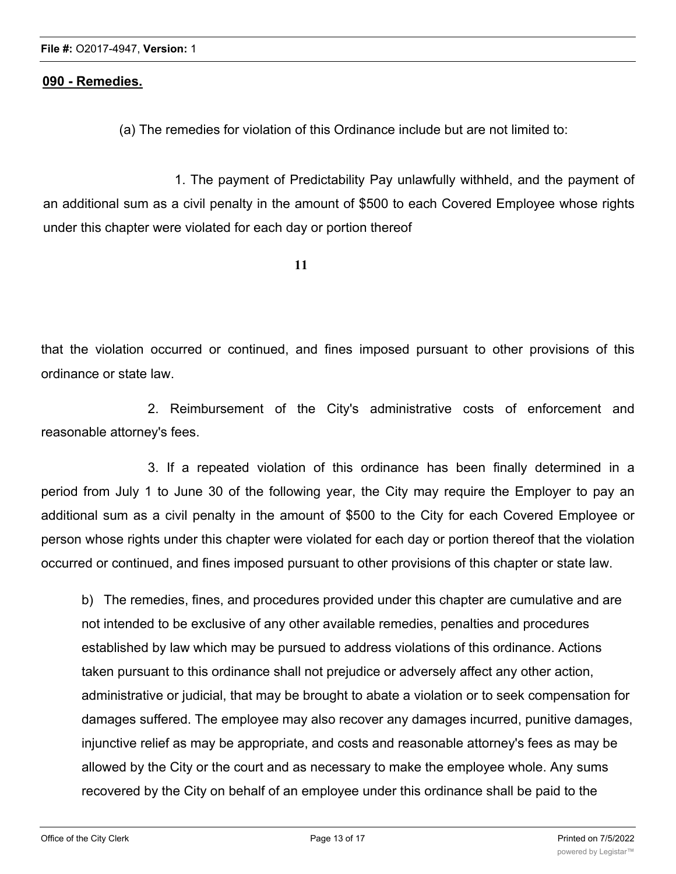## **090 - Remedies.**

(a) The remedies for violation of this Ordinance include but are not limited to:

1. The payment of Predictability Pay unlawfully withheld, and the payment of an additional sum as a civil penalty in the amount of \$500 to each Covered Employee whose rights under this chapter were violated for each day or portion thereof

**11**

that the violation occurred or continued, and fines imposed pursuant to other provisions of this ordinance or state law.

2. Reimbursement of the City's administrative costs of enforcement and reasonable attorney's fees.

3. If a repeated violation of this ordinance has been finally determined in a period from July 1 to June 30 of the following year, the City may require the Employer to pay an additional sum as a civil penalty in the amount of \$500 to the City for each Covered Employee or person whose rights under this chapter were violated for each day or portion thereof that the violation occurred or continued, and fines imposed pursuant to other provisions of this chapter or state law.

b) The remedies, fines, and procedures provided under this chapter are cumulative and are not intended to be exclusive of any other available remedies, penalties and procedures established by law which may be pursued to address violations of this ordinance. Actions taken pursuant to this ordinance shall not prejudice or adversely affect any other action, administrative or judicial, that may be brought to abate a violation or to seek compensation for damages suffered. The employee may also recover any damages incurred, punitive damages, injunctive relief as may be appropriate, and costs and reasonable attorney's fees as may be allowed by the City or the court and as necessary to make the employee whole. Any sums recovered by the City on behalf of an employee under this ordinance shall be paid to the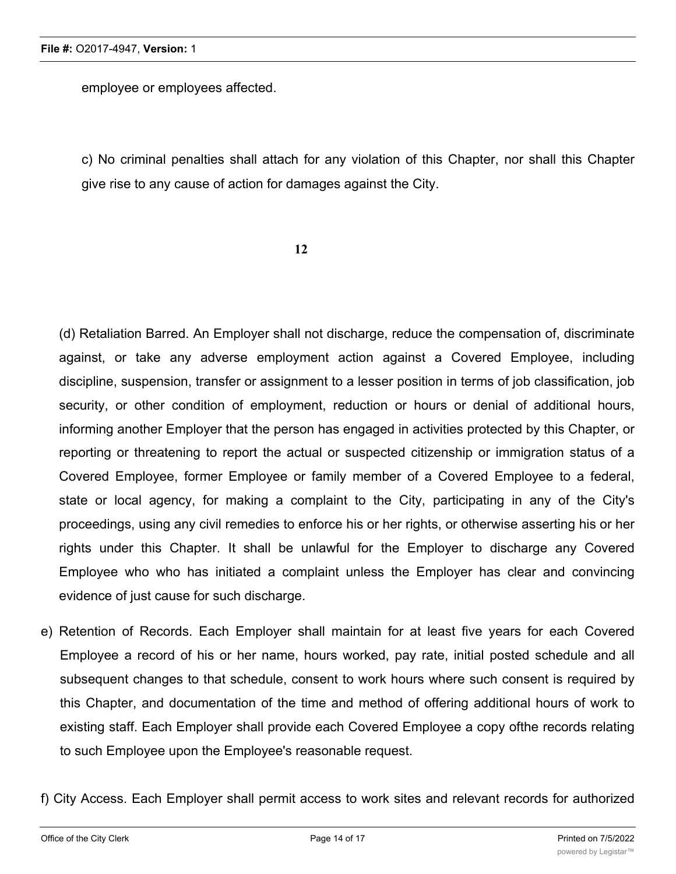employee or employees affected.

c) No criminal penalties shall attach for any violation of this Chapter, nor shall this Chapter give rise to any cause of action for damages against the City.

**12**

(d) Retaliation Barred. An Employer shall not discharge, reduce the compensation of, discriminate against, or take any adverse employment action against a Covered Employee, including discipline, suspension, transfer or assignment to a lesser position in terms of job classification, job security, or other condition of employment, reduction or hours or denial of additional hours, informing another Employer that the person has engaged in activities protected by this Chapter, or reporting or threatening to report the actual or suspected citizenship or immigration status of a Covered Employee, former Employee or family member of a Covered Employee to a federal, state or local agency, for making a complaint to the City, participating in any of the City's proceedings, using any civil remedies to enforce his or her rights, or otherwise asserting his or her rights under this Chapter. It shall be unlawful for the Employer to discharge any Covered Employee who who has initiated a complaint unless the Employer has clear and convincing evidence of just cause for such discharge.

e) Retention of Records. Each Employer shall maintain for at least five years for each Covered Employee a record of his or her name, hours worked, pay rate, initial posted schedule and all subsequent changes to that schedule, consent to work hours where such consent is required by this Chapter, and documentation of the time and method of offering additional hours of work to existing staff. Each Employer shall provide each Covered Employee a copy ofthe records relating to such Employee upon the Employee's reasonable request.

f) City Access. Each Employer shall permit access to work sites and relevant records for authorized

City representatives for the purpose of monitoring compliance with this Chapter and investigating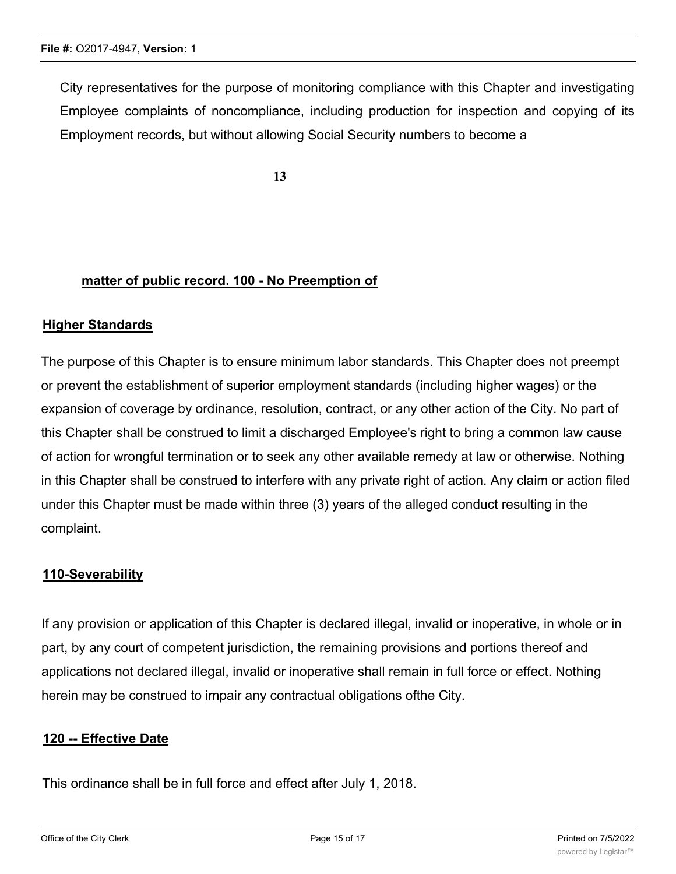City representatives for the purpose of monitoring compliance with this Chapter and investigating Employee complaints of noncompliance, including production for inspection and copying of its Employment records, but without allowing Social Security numbers to become a

**13**

#### **matter of public record. 100 - No Preemption of**

#### **Higher Standards**

The purpose of this Chapter is to ensure minimum labor standards. This Chapter does not preempt or prevent the establishment of superior employment standards (including higher wages) or the expansion of coverage by ordinance, resolution, contract, or any other action of the City. No part of this Chapter shall be construed to limit a discharged Employee's right to bring a common law cause of action for wrongful termination or to seek any other available remedy at law or otherwise. Nothing in this Chapter shall be construed to interfere with any private right of action. Any claim or action filed under this Chapter must be made within three (3) years of the alleged conduct resulting in the complaint.

#### **110-Severability**

If any provision or application of this Chapter is declared illegal, invalid or inoperative, in whole or in part, by any court of competent jurisdiction, the remaining provisions and portions thereof and applications not declared illegal, invalid or inoperative shall remain in full force or effect. Nothing herein may be construed to impair any contractual obligations ofthe City.

#### **120 -- Effective Date**

This ordinance shall be in full force and effect after July 1, 2018.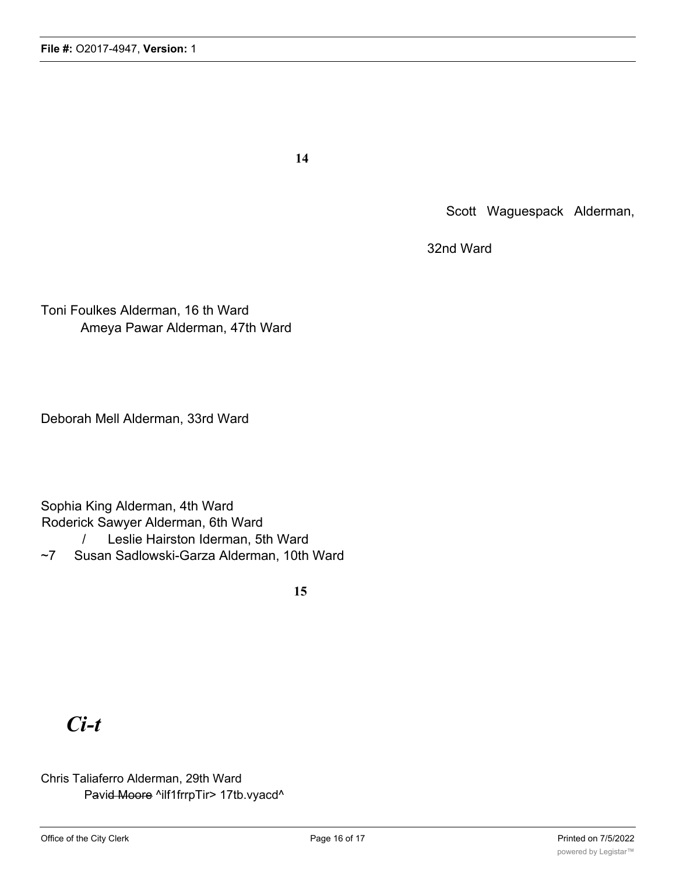**14**

Scott Waguespack Alderman,

32nd Ward

Toni Foulkes Alderman, 16 th Ward Ameya Pawar Alderman, 47th Ward

Deborah Mell Alderman, 33rd Ward

Sophia King Alderman, 4th Ward Roderick Sawyer Alderman, 6th Ward

/ Leslie Hairston Iderman, 5th Ward

~7 Susan Sadlowski-Garza Alderman, 10th Ward

**15**

# *Ci-t*

### Chris Taliaferro Alderman, 29th Ward Pavid Moore ^ilf1frrpTir> 17tb.vyacd^